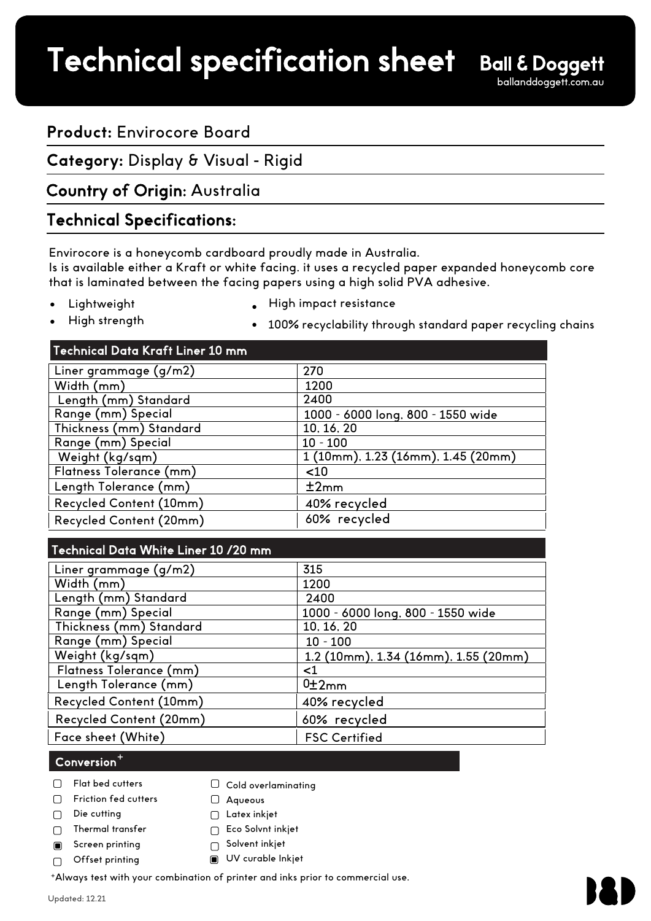# Technical specification sheet

# **Product:** Envirocore Board

**Category:** Display & Visual - Rigid

# Country of Origin: Australia

## Technical Specifications:

Envirocore is a honeycomb cardboard proudly made in Australia.

Is is available either a Kraft or white facing. it uses a recycled paper expanded honeycomb core that is laminated between the facing papers using a high solid PVA adhesive.

• **Lightweight**  High impact resistance

High strength •

- 
- 
- 100% recyclability through standard paper recycling chains

#### Technical Data Kraft Liner 10 mm

| Liner grammage (g/m2)   | 270                                |
|-------------------------|------------------------------------|
| Width (mm)              | 1200                               |
| Length (mm) Standard    | 2400                               |
| Range (mm) Special      | 1000 - 6000 long, 800 - 1550 wide  |
| Thickness (mm) Standard | 10, 16, 20                         |
| Range (mm) Special      | $10 - 100$                         |
| Weight (kg/sqm)         | 1 (10mm), 1.23 (16mm), 1.45 (20mm) |
| Flatness Tolerance (mm) | $<$ 10                             |
| Length Tolerance (mm)   | ±2mm                               |
| Recycled Content (10mm) | 40% recycled                       |
| Recycled Content (20mm) | 60% recycled                       |
|                         |                                    |

| Technical Data White Liner 10 /20 mm |                                      |
|--------------------------------------|--------------------------------------|
| Liner grammage (g/m2)                | 315                                  |
| Width (mm)                           | 1200                                 |
| Length (mm) Standard                 | 2400                                 |
| Range (mm) Special                   | 1000 - 6000 long, 800 - 1550 wide    |
| Thickness (mm) Standard              | 10, 16, 20                           |
| Range (mm) Special                   | $10 - 100$                           |
| Weight (kg/sqm)                      | 1.2 (10mm), 1.34 (16mm), 1.55 (20mm) |
| Flatness Tolerance (mm)              | <1                                   |
| Length Tolerance (mm)                | 0±2mm                                |
| Recycled Content (10mm)              | 40% recycled                         |
| Recycled Content (20mm)              | 60% recycled                         |
| Face sheet (White)                   | <b>FSC Certified</b>                 |

## $\mathsf{Conversion}^+$

- Flat bed cutters  $\Box$
- Friction fed cutters  $\Box$
- Die cutting  $\Box$
- Thermal transfer  $\Box$
- Screen printing  $\blacksquare$

Offset printing

 $\bigcap$  Solvent inkjet UV curable Inkjet

 $\Box$  Cold overlaminating

<sup>+</sup>Always test with your combination of printer and inks prior to commercial use.

Aqueous  $\Box$  Latex inkjet □ Eco Solvnt inkjet

 $\cap$